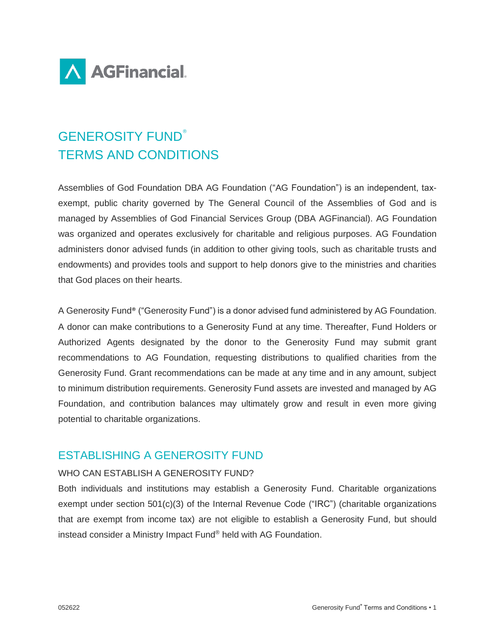

# GENEROSITY FUND® TERMS AND CONDITIONS

Assemblies of God Foundation DBA AG Foundation ("AG Foundation") is an independent, taxexempt, public charity governed by The General Council of the Assemblies of God and is managed by Assemblies of God Financial Services Group (DBA AGFinancial). AG Foundation was organized and operates exclusively for charitable and religious purposes. AG Foundation administers donor advised funds (in addition to other giving tools, such as charitable trusts and endowments) and provides tools and support to help donors give to the ministries and charities that God places on their hearts.

A Generosity Fund® ("Generosity Fund") is a donor advised fund administered by AG Foundation. A donor can make contributions to a Generosity Fund at any time. Thereafter, Fund Holders or Authorized Agents designated by the donor to the Generosity Fund may submit grant recommendations to AG Foundation, requesting distributions to qualified charities from the Generosity Fund. Grant recommendations can be made at any time and in any amount, subject to minimum distribution requirements. Generosity Fund assets are invested and managed by AG Foundation, and contribution balances may ultimately grow and result in even more giving potential to charitable organizations.

# ESTABLISHING A GENEROSITY FUND

# WHO CAN ESTABLISH A GENEROSITY FUND?

Both individuals and institutions may establish a Generosity Fund. Charitable organizations exempt under section 501(c)(3) of the Internal Revenue Code ("IRC") (charitable organizations that are exempt from income tax) are not eligible to establish a Generosity Fund, but should instead consider a Ministry Impact Fund® held with AG Foundation.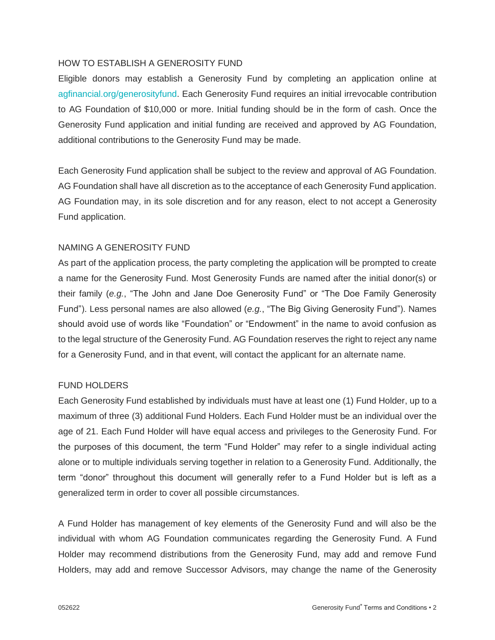#### HOW TO ESTABLISH A GENEROSITY FUND

Eligible donors may establish a Generosity Fund by completing an application online at agfinancial.org/generosityfund. Each Generosity Fund requires an initial irrevocable contribution to AG Foundation of \$10,000 or more. Initial funding should be in the form of cash. Once the Generosity Fund application and initial funding are received and approved by AG Foundation, additional contributions to the Generosity Fund may be made.

Each Generosity Fund application shall be subject to the review and approval of AG Foundation. AG Foundation shall have all discretion as to the acceptance of each Generosity Fund application. AG Foundation may, in its sole discretion and for any reason, elect to not accept a Generosity Fund application.

## NAMING A GENEROSITY FUND

As part of the application process, the party completing the application will be prompted to create a name for the Generosity Fund. Most Generosity Funds are named after the initial donor(s) or their family (*e.g.*, "The John and Jane Doe Generosity Fund" or "The Doe Family Generosity Fund"). Less personal names are also allowed (*e.g.*, "The Big Giving Generosity Fund"). Names should avoid use of words like "Foundation" or "Endowment" in the name to avoid confusion as to the legal structure of the Generosity Fund. AG Foundation reserves the right to reject any name for a Generosity Fund, and in that event, will contact the applicant for an alternate name.

## FUND HOLDERS

Each Generosity Fund established by individuals must have at least one (1) Fund Holder, up to a maximum of three (3) additional Fund Holders. Each Fund Holder must be an individual over the age of 21. Each Fund Holder will have equal access and privileges to the Generosity Fund. For the purposes of this document, the term "Fund Holder" may refer to a single individual acting alone or to multiple individuals serving together in relation to a Generosity Fund. Additionally, the term "donor" throughout this document will generally refer to a Fund Holder but is left as a generalized term in order to cover all possible circumstances.

A Fund Holder has management of key elements of the Generosity Fund and will also be the individual with whom AG Foundation communicates regarding the Generosity Fund. A Fund Holder may recommend distributions from the Generosity Fund, may add and remove Fund Holders, may add and remove Successor Advisors, may change the name of the Generosity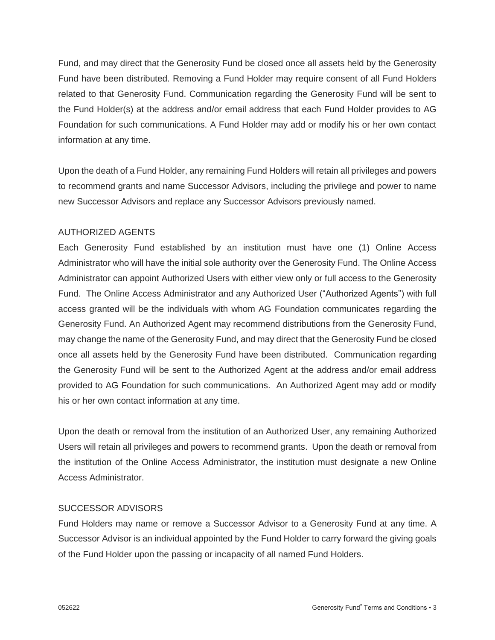Fund, and may direct that the Generosity Fund be closed once all assets held by the Generosity Fund have been distributed. Removing a Fund Holder may require consent of all Fund Holders related to that Generosity Fund. Communication regarding the Generosity Fund will be sent to the Fund Holder(s) at the address and/or email address that each Fund Holder provides to AG Foundation for such communications. A Fund Holder may add or modify his or her own contact information at any time.

Upon the death of a Fund Holder, any remaining Fund Holders will retain all privileges and powers to recommend grants and name Successor Advisors, including the privilege and power to name new Successor Advisors and replace any Successor Advisors previously named.

## AUTHORIZED AGENTS

Each Generosity Fund established by an institution must have one (1) Online Access Administrator who will have the initial sole authority over the Generosity Fund. The Online Access Administrator can appoint Authorized Users with either view only or full access to the Generosity Fund. The Online Access Administrator and any Authorized User ("Authorized Agents") with full access granted will be the individuals with whom AG Foundation communicates regarding the Generosity Fund. An Authorized Agent may recommend distributions from the Generosity Fund, may change the name of the Generosity Fund, and may direct that the Generosity Fund be closed once all assets held by the Generosity Fund have been distributed. Communication regarding the Generosity Fund will be sent to the Authorized Agent at the address and/or email address provided to AG Foundation for such communications. An Authorized Agent may add or modify his or her own contact information at any time.

Upon the death or removal from the institution of an Authorized User, any remaining Authorized Users will retain all privileges and powers to recommend grants. Upon the death or removal from the institution of the Online Access Administrator, the institution must designate a new Online Access Administrator.

#### SUCCESSOR ADVISORS

Fund Holders may name or remove a Successor Advisor to a Generosity Fund at any time. A Successor Advisor is an individual appointed by the Fund Holder to carry forward the giving goals of the Fund Holder upon the passing or incapacity of all named Fund Holders.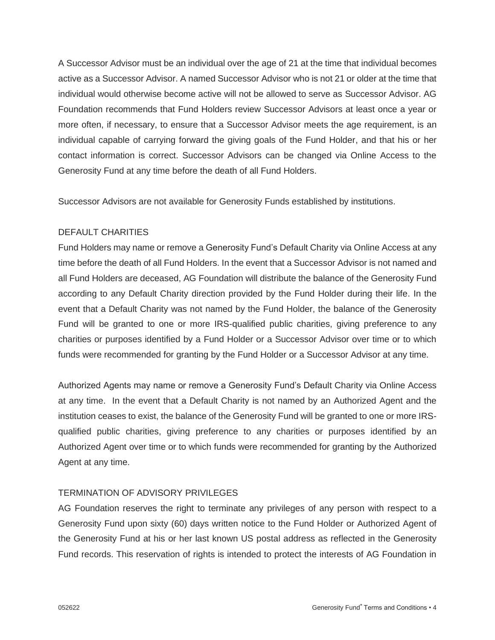A Successor Advisor must be an individual over the age of 21 at the time that individual becomes active as a Successor Advisor. A named Successor Advisor who is not 21 or older at the time that individual would otherwise become active will not be allowed to serve as Successor Advisor. AG Foundation recommends that Fund Holders review Successor Advisors at least once a year or more often, if necessary, to ensure that a Successor Advisor meets the age requirement, is an individual capable of carrying forward the giving goals of the Fund Holder, and that his or her contact information is correct. Successor Advisors can be changed via Online Access to the Generosity Fund at any time before the death of all Fund Holders.

Successor Advisors are not available for Generosity Funds established by institutions.

# DEFAULT CHARITIES

Fund Holders may name or remove a Generosity Fund's Default Charity via Online Access at any time before the death of all Fund Holders. In the event that a Successor Advisor is not named and all Fund Holders are deceased, AG Foundation will distribute the balance of the Generosity Fund according to any Default Charity direction provided by the Fund Holder during their life. In the event that a Default Charity was not named by the Fund Holder, the balance of the Generosity Fund will be granted to one or more IRS-qualified public charities, giving preference to any charities or purposes identified by a Fund Holder or a Successor Advisor over time or to which funds were recommended for granting by the Fund Holder or a Successor Advisor at any time.

Authorized Agents may name or remove a Generosity Fund's Default Charity via Online Access at any time. In the event that a Default Charity is not named by an Authorized Agent and the institution ceases to exist, the balance of the Generosity Fund will be granted to one or more IRSqualified public charities, giving preference to any charities or purposes identified by an Authorized Agent over time or to which funds were recommended for granting by the Authorized Agent at any time.

## TERMINATION OF ADVISORY PRIVILEGES

AG Foundation reserves the right to terminate any privileges of any person with respect to a Generosity Fund upon sixty (60) days written notice to the Fund Holder or Authorized Agent of the Generosity Fund at his or her last known US postal address as reflected in the Generosity Fund records. This reservation of rights is intended to protect the interests of AG Foundation in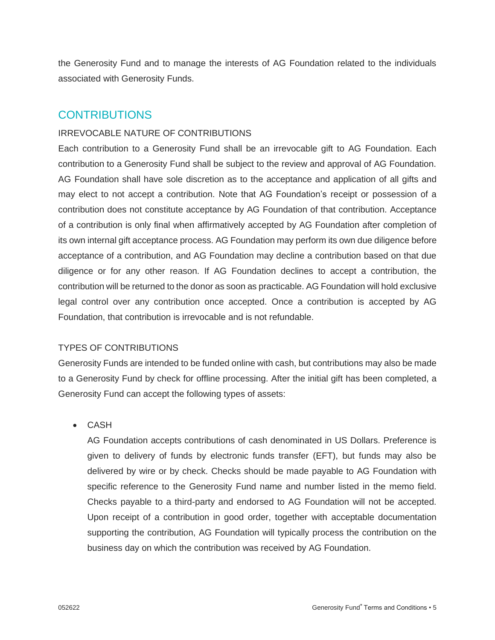the Generosity Fund and to manage the interests of AG Foundation related to the individuals associated with Generosity Funds.

# **CONTRIBUTIONS**

# IRREVOCABLE NATURE OF CONTRIBUTIONS

Each contribution to a Generosity Fund shall be an irrevocable gift to AG Foundation. Each contribution to a Generosity Fund shall be subject to the review and approval of AG Foundation. AG Foundation shall have sole discretion as to the acceptance and application of all gifts and may elect to not accept a contribution. Note that AG Foundation's receipt or possession of a contribution does not constitute acceptance by AG Foundation of that contribution. Acceptance of a contribution is only final when affirmatively accepted by AG Foundation after completion of its own internal gift acceptance process. AG Foundation may perform its own due diligence before acceptance of a contribution, and AG Foundation may decline a contribution based on that due diligence or for any other reason. If AG Foundation declines to accept a contribution, the contribution will be returned to the donor as soon as practicable. AG Foundation will hold exclusive legal control over any contribution once accepted. Once a contribution is accepted by AG Foundation, that contribution is irrevocable and is not refundable.

# TYPES OF CONTRIBUTIONS

Generosity Funds are intended to be funded online with cash, but contributions may also be made to a Generosity Fund by check for offline processing. After the initial gift has been completed, a Generosity Fund can accept the following types of assets:

• CASH

AG Foundation accepts contributions of cash denominated in US Dollars. Preference is given to delivery of funds by electronic funds transfer (EFT), but funds may also be delivered by wire or by check. Checks should be made payable to AG Foundation with specific reference to the Generosity Fund name and number listed in the memo field. Checks payable to a third-party and endorsed to AG Foundation will not be accepted. Upon receipt of a contribution in good order, together with acceptable documentation supporting the contribution, AG Foundation will typically process the contribution on the business day on which the contribution was received by AG Foundation.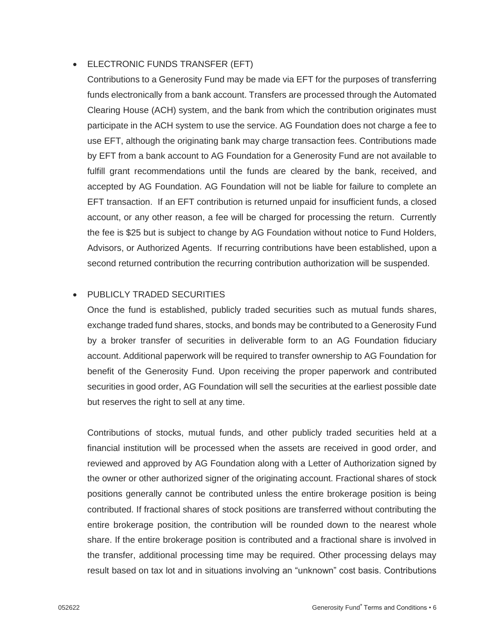# • ELECTRONIC FUNDS TRANSFER (EFT)

Contributions to a Generosity Fund may be made via EFT for the purposes of transferring funds electronically from a bank account. Transfers are processed through the Automated Clearing House (ACH) system, and the bank from which the contribution originates must participate in the ACH system to use the service. AG Foundation does not charge a fee to use EFT, although the originating bank may charge transaction fees. Contributions made by EFT from a bank account to AG Foundation for a Generosity Fund are not available to fulfill grant recommendations until the funds are cleared by the bank, received, and accepted by AG Foundation. AG Foundation will not be liable for failure to complete an EFT transaction. If an EFT contribution is returned unpaid for insufficient funds, a closed account, or any other reason, a fee will be charged for processing the return. Currently the fee is \$25 but is subject to change by AG Foundation without notice to Fund Holders, Advisors, or Authorized Agents. If recurring contributions have been established, upon a second returned contribution the recurring contribution authorization will be suspended.

# • PUBLICLY TRADED SECURITIES

Once the fund is established, publicly traded securities such as mutual funds shares, exchange traded fund shares, stocks, and bonds may be contributed to a Generosity Fund by a broker transfer of securities in deliverable form to an AG Foundation fiduciary account. Additional paperwork will be required to transfer ownership to AG Foundation for benefit of the Generosity Fund. Upon receiving the proper paperwork and contributed securities in good order, AG Foundation will sell the securities at the earliest possible date but reserves the right to sell at any time.

Contributions of stocks, mutual funds, and other publicly traded securities held at a financial institution will be processed when the assets are received in good order, and reviewed and approved by AG Foundation along with a Letter of Authorization signed by the owner or other authorized signer of the originating account. Fractional shares of stock positions generally cannot be contributed unless the entire brokerage position is being contributed. If fractional shares of stock positions are transferred without contributing the entire brokerage position, the contribution will be rounded down to the nearest whole share. If the entire brokerage position is contributed and a fractional share is involved in the transfer, additional processing time may be required. Other processing delays may result based on tax lot and in situations involving an "unknown" cost basis. Contributions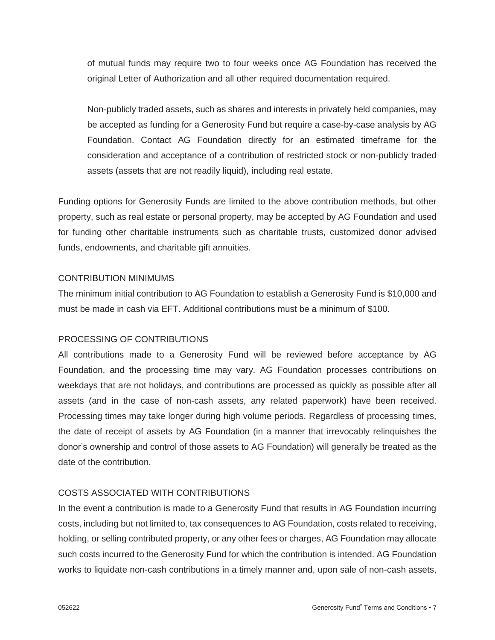of mutual funds may require two to four weeks once AG Foundation has received the original Letter of Authorization and all other required documentation required.

Non-publicly traded assets, such as shares and interests in privately held companies, may be accepted as funding for a Generosity Fund but require a case-by-case analysis by AG Foundation. Contact AG Foundation directly for an estimated timeframe for the consideration and acceptance of a contribution of restricted stock or non-publicly traded assets (assets that are not readily liquid), including real estate.

Funding options for Generosity Funds are limited to the above contribution methods, but other property, such as real estate or personal property, may be accepted by AG Foundation and used for funding other charitable instruments such as charitable trusts, customized donor advised funds, endowments, and charitable gift annuities.

# CONTRIBUTION MINIMUMS

The minimum initial contribution to AG Foundation to establish a Generosity Fund is \$10,000 and must be made in cash via EFT. Additional contributions must be a minimum of \$100.

## PROCESSING OF CONTRIBUTIONS

All contributions made to a Generosity Fund will be reviewed before acceptance by AG Foundation, and the processing time may vary. AG Foundation processes contributions on weekdays that are not holidays, and contributions are processed as quickly as possible after all assets (and in the case of non-cash assets, any related paperwork) have been received. Processing times may take longer during high volume periods. Regardless of processing times, the date of receipt of assets by AG Foundation (in a manner that irrevocably relinquishes the donor's ownership and control of those assets to AG Foundation) will generally be treated as the date of the contribution.

## COSTS ASSOCIATED WITH CONTRIBUTIONS

In the event a contribution is made to a Generosity Fund that results in AG Foundation incurring costs, including but not limited to, tax consequences to AG Foundation, costs related to receiving, holding, or selling contributed property, or any other fees or charges, AG Foundation may allocate such costs incurred to the Generosity Fund for which the contribution is intended. AG Foundation works to liquidate non-cash contributions in a timely manner and, upon sale of non-cash assets,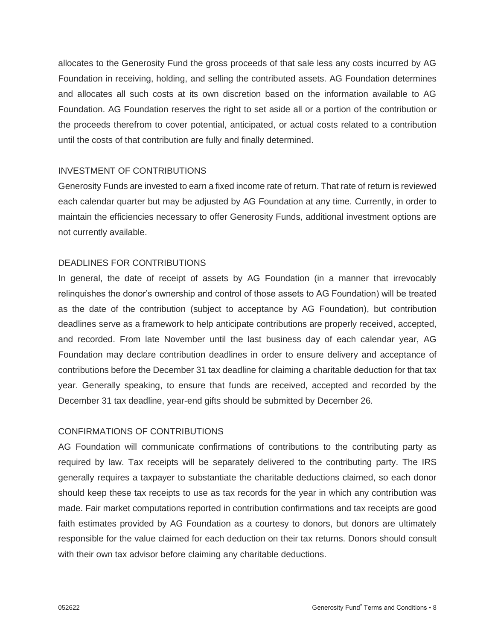allocates to the Generosity Fund the gross proceeds of that sale less any costs incurred by AG Foundation in receiving, holding, and selling the contributed assets. AG Foundation determines and allocates all such costs at its own discretion based on the information available to AG Foundation. AG Foundation reserves the right to set aside all or a portion of the contribution or the proceeds therefrom to cover potential, anticipated, or actual costs related to a contribution until the costs of that contribution are fully and finally determined.

## INVESTMENT OF CONTRIBUTIONS

Generosity Funds are invested to earn a fixed income rate of return. That rate of return is reviewed each calendar quarter but may be adjusted by AG Foundation at any time. Currently, in order to maintain the efficiencies necessary to offer Generosity Funds, additional investment options are not currently available.

#### DEADLINES FOR CONTRIBUTIONS

In general, the date of receipt of assets by AG Foundation (in a manner that irrevocably relinquishes the donor's ownership and control of those assets to AG Foundation) will be treated as the date of the contribution (subject to acceptance by AG Foundation), but contribution deadlines serve as a framework to help anticipate contributions are properly received, accepted, and recorded. From late November until the last business day of each calendar year, AG Foundation may declare contribution deadlines in order to ensure delivery and acceptance of contributions before the December 31 tax deadline for claiming a charitable deduction for that tax year. Generally speaking, to ensure that funds are received, accepted and recorded by the December 31 tax deadline, year-end gifts should be submitted by December 26.

## CONFIRMATIONS OF CONTRIBUTIONS

AG Foundation will communicate confirmations of contributions to the contributing party as required by law. Tax receipts will be separately delivered to the contributing party. The IRS generally requires a taxpayer to substantiate the charitable deductions claimed, so each donor should keep these tax receipts to use as tax records for the year in which any contribution was made. Fair market computations reported in contribution confirmations and tax receipts are good faith estimates provided by AG Foundation as a courtesy to donors, but donors are ultimately responsible for the value claimed for each deduction on their tax returns. Donors should consult with their own tax advisor before claiming any charitable deductions.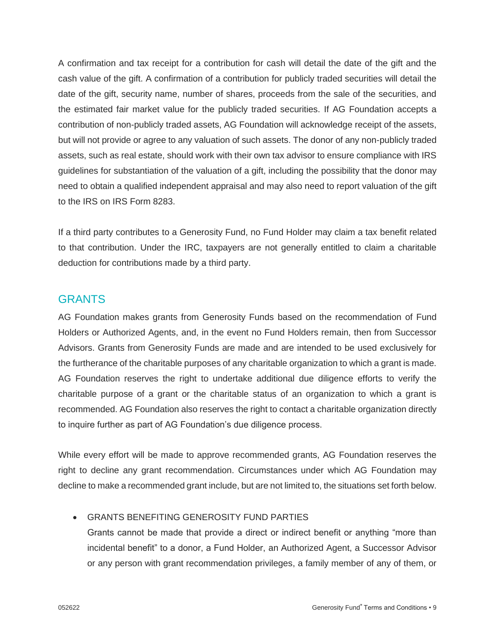A confirmation and tax receipt for a contribution for cash will detail the date of the gift and the cash value of the gift. A confirmation of a contribution for publicly traded securities will detail the date of the gift, security name, number of shares, proceeds from the sale of the securities, and the estimated fair market value for the publicly traded securities. If AG Foundation accepts a contribution of non-publicly traded assets, AG Foundation will acknowledge receipt of the assets, but will not provide or agree to any valuation of such assets. The donor of any non-publicly traded assets, such as real estate, should work with their own tax advisor to ensure compliance with IRS guidelines for substantiation of the valuation of a gift, including the possibility that the donor may need to obtain a qualified independent appraisal and may also need to report valuation of the gift to the IRS on IRS Form 8283.

If a third party contributes to a Generosity Fund, no Fund Holder may claim a tax benefit related to that contribution. Under the IRC, taxpayers are not generally entitled to claim a charitable deduction for contributions made by a third party.

# **GRANTS**

AG Foundation makes grants from Generosity Funds based on the recommendation of Fund Holders or Authorized Agents, and, in the event no Fund Holders remain, then from Successor Advisors. Grants from Generosity Funds are made and are intended to be used exclusively for the furtherance of the charitable purposes of any charitable organization to which a grant is made. AG Foundation reserves the right to undertake additional due diligence efforts to verify the charitable purpose of a grant or the charitable status of an organization to which a grant is recommended. AG Foundation also reserves the right to contact a charitable organization directly to inquire further as part of AG Foundation's due diligence process.

While every effort will be made to approve recommended grants, AG Foundation reserves the right to decline any grant recommendation. Circumstances under which AG Foundation may decline to make a recommended grant include, but are not limited to, the situations set forth below.

# • GRANTS BENEFITING GENEROSITY FUND PARTIES

Grants cannot be made that provide a direct or indirect benefit or anything "more than incidental benefit" to a donor, a Fund Holder, an Authorized Agent, a Successor Advisor or any person with grant recommendation privileges, a family member of any of them, or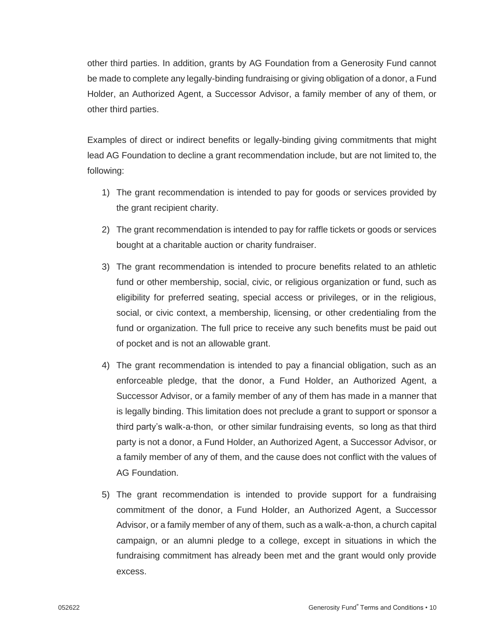other third parties. In addition, grants by AG Foundation from a Generosity Fund cannot be made to complete any legally-binding fundraising or giving obligation of a donor, a Fund Holder, an Authorized Agent, a Successor Advisor, a family member of any of them, or other third parties.

Examples of direct or indirect benefits or legally-binding giving commitments that might lead AG Foundation to decline a grant recommendation include, but are not limited to, the following:

- 1) The grant recommendation is intended to pay for goods or services provided by the grant recipient charity.
- 2) The grant recommendation is intended to pay for raffle tickets or goods or services bought at a charitable auction or charity fundraiser.
- 3) The grant recommendation is intended to procure benefits related to an athletic fund or other membership, social, civic, or religious organization or fund, such as eligibility for preferred seating, special access or privileges, or in the religious, social, or civic context, a membership, licensing, or other credentialing from the fund or organization. The full price to receive any such benefits must be paid out of pocket and is not an allowable grant.
- 4) The grant recommendation is intended to pay a financial obligation, such as an enforceable pledge, that the donor, a Fund Holder, an Authorized Agent, a Successor Advisor, or a family member of any of them has made in a manner that is legally binding. This limitation does not preclude a grant to support or sponsor a third party's walk-a-thon, or other similar fundraising events, so long as that third party is not a donor, a Fund Holder, an Authorized Agent, a Successor Advisor, or a family member of any of them, and the cause does not conflict with the values of AG Foundation.
- 5) The grant recommendation is intended to provide support for a fundraising commitment of the donor, a Fund Holder, an Authorized Agent, a Successor Advisor, or a family member of any of them, such as a walk-a-thon, a church capital campaign, or an alumni pledge to a college, except in situations in which the fundraising commitment has already been met and the grant would only provide excess.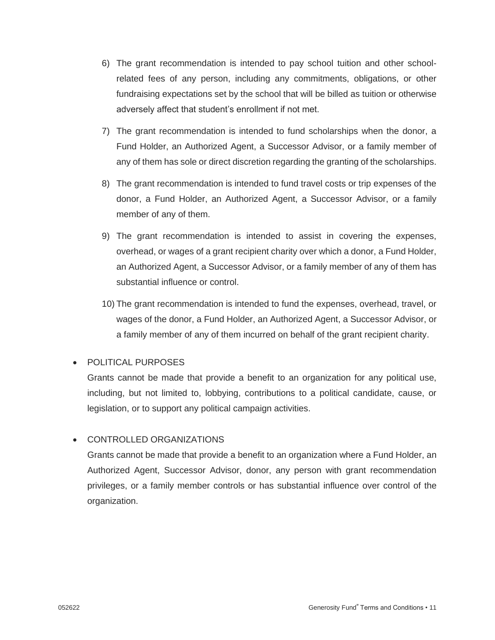- 6) The grant recommendation is intended to pay school tuition and other schoolrelated fees of any person, including any commitments, obligations, or other fundraising expectations set by the school that will be billed as tuition or otherwise adversely affect that student's enrollment if not met.
- 7) The grant recommendation is intended to fund scholarships when the donor, a Fund Holder, an Authorized Agent, a Successor Advisor, or a family member of any of them has sole or direct discretion regarding the granting of the scholarships.
- 8) The grant recommendation is intended to fund travel costs or trip expenses of the donor, a Fund Holder, an Authorized Agent, a Successor Advisor, or a family member of any of them.
- 9) The grant recommendation is intended to assist in covering the expenses, overhead, or wages of a grant recipient charity over which a donor, a Fund Holder, an Authorized Agent, a Successor Advisor, or a family member of any of them has substantial influence or control.
- 10) The grant recommendation is intended to fund the expenses, overhead, travel, or wages of the donor, a Fund Holder, an Authorized Agent, a Successor Advisor, or a family member of any of them incurred on behalf of the grant recipient charity.

# • POLITICAL PURPOSES

Grants cannot be made that provide a benefit to an organization for any political use, including, but not limited to, lobbying, contributions to a political candidate, cause, or legislation, or to support any political campaign activities.

# • CONTROLLED ORGANIZATIONS

Grants cannot be made that provide a benefit to an organization where a Fund Holder, an Authorized Agent, Successor Advisor, donor, any person with grant recommendation privileges, or a family member controls or has substantial influence over control of the organization.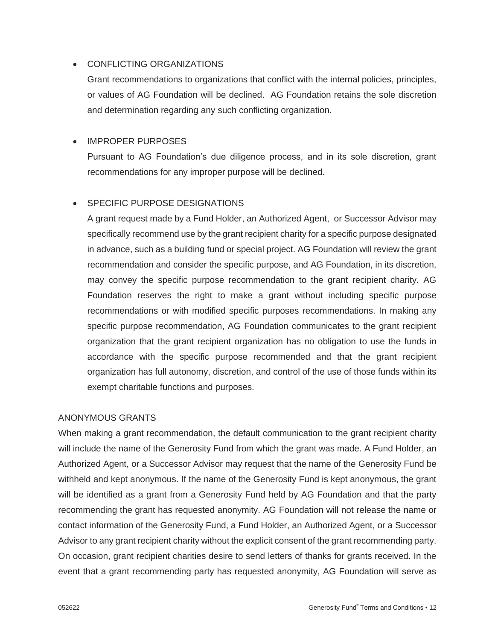# • CONFLICTING ORGANIZATIONS

Grant recommendations to organizations that conflict with the internal policies, principles, or values of AG Foundation will be declined. AG Foundation retains the sole discretion and determination regarding any such conflicting organization.

# • IMPROPER PURPOSES

Pursuant to AG Foundation's due diligence process, and in its sole discretion, grant recommendations for any improper purpose will be declined.

# • SPECIFIC PURPOSE DESIGNATIONS

A grant request made by a Fund Holder, an Authorized Agent, or Successor Advisor may specifically recommend use by the grant recipient charity for a specific purpose designated in advance, such as a building fund or special project. AG Foundation will review the grant recommendation and consider the specific purpose, and AG Foundation, in its discretion, may convey the specific purpose recommendation to the grant recipient charity. AG Foundation reserves the right to make a grant without including specific purpose recommendations or with modified specific purposes recommendations. In making any specific purpose recommendation, AG Foundation communicates to the grant recipient organization that the grant recipient organization has no obligation to use the funds in accordance with the specific purpose recommended and that the grant recipient organization has full autonomy, discretion, and control of the use of those funds within its exempt charitable functions and purposes.

## ANONYMOUS GRANTS

When making a grant recommendation, the default communication to the grant recipient charity will include the name of the Generosity Fund from which the grant was made. A Fund Holder, an Authorized Agent, or a Successor Advisor may request that the name of the Generosity Fund be withheld and kept anonymous. If the name of the Generosity Fund is kept anonymous, the grant will be identified as a grant from a Generosity Fund held by AG Foundation and that the party recommending the grant has requested anonymity. AG Foundation will not release the name or contact information of the Generosity Fund, a Fund Holder, an Authorized Agent, or a Successor Advisor to any grant recipient charity without the explicit consent of the grant recommending party. On occasion, grant recipient charities desire to send letters of thanks for grants received. In the event that a grant recommending party has requested anonymity, AG Foundation will serve as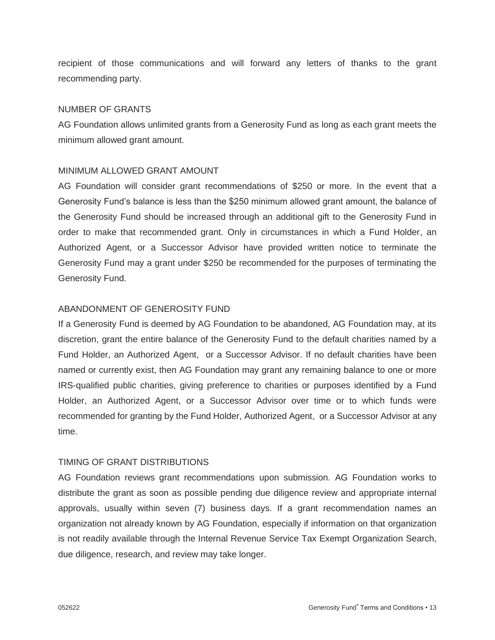recipient of those communications and will forward any letters of thanks to the grant recommending party.

## NUMBER OF GRANTS

AG Foundation allows unlimited grants from a Generosity Fund as long as each grant meets the minimum allowed grant amount.

## MINIMUM ALLOWED GRANT AMOUNT

AG Foundation will consider grant recommendations of \$250 or more. In the event that a Generosity Fund's balance is less than the \$250 minimum allowed grant amount, the balance of the Generosity Fund should be increased through an additional gift to the Generosity Fund in order to make that recommended grant. Only in circumstances in which a Fund Holder, an Authorized Agent, or a Successor Advisor have provided written notice to terminate the Generosity Fund may a grant under \$250 be recommended for the purposes of terminating the Generosity Fund.

## ABANDONMENT OF GENEROSITY FUND

If a Generosity Fund is deemed by AG Foundation to be abandoned, AG Foundation may, at its discretion, grant the entire balance of the Generosity Fund to the default charities named by a Fund Holder, an Authorized Agent, or a Successor Advisor. If no default charities have been named or currently exist, then AG Foundation may grant any remaining balance to one or more IRS-qualified public charities, giving preference to charities or purposes identified by a Fund Holder, an Authorized Agent, or a Successor Advisor over time or to which funds were recommended for granting by the Fund Holder, Authorized Agent, or a Successor Advisor at any time.

## TIMING OF GRANT DISTRIBUTIONS

AG Foundation reviews grant recommendations upon submission. AG Foundation works to distribute the grant as soon as possible pending due diligence review and appropriate internal approvals, usually within seven (7) business days. If a grant recommendation names an organization not already known by AG Foundation, especially if information on that organization is not readily available through the Internal Revenue Service Tax Exempt Organization Search, due diligence, research, and review may take longer.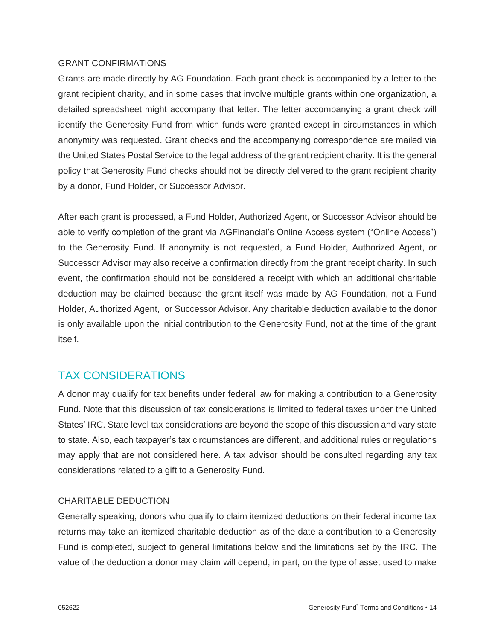#### GRANT CONFIRMATIONS

Grants are made directly by AG Foundation. Each grant check is accompanied by a letter to the grant recipient charity, and in some cases that involve multiple grants within one organization, a detailed spreadsheet might accompany that letter. The letter accompanying a grant check will identify the Generosity Fund from which funds were granted except in circumstances in which anonymity was requested. Grant checks and the accompanying correspondence are mailed via the United States Postal Service to the legal address of the grant recipient charity. It is the general policy that Generosity Fund checks should not be directly delivered to the grant recipient charity by a donor, Fund Holder, or Successor Advisor.

After each grant is processed, a Fund Holder, Authorized Agent, or Successor Advisor should be able to verify completion of the grant via AGFinancial's Online Access system ("Online Access") to the Generosity Fund. If anonymity is not requested, a Fund Holder, Authorized Agent, or Successor Advisor may also receive a confirmation directly from the grant receipt charity. In such event, the confirmation should not be considered a receipt with which an additional charitable deduction may be claimed because the grant itself was made by AG Foundation, not a Fund Holder, Authorized Agent, or Successor Advisor. Any charitable deduction available to the donor is only available upon the initial contribution to the Generosity Fund, not at the time of the grant itself.

# TAX CONSIDERATIONS

A donor may qualify for tax benefits under federal law for making a contribution to a Generosity Fund. Note that this discussion of tax considerations is limited to federal taxes under the United States' IRC. State level tax considerations are beyond the scope of this discussion and vary state to state. Also, each taxpayer's tax circumstances are different, and additional rules or regulations may apply that are not considered here. A tax advisor should be consulted regarding any tax considerations related to a gift to a Generosity Fund.

## CHARITABLE DEDUCTION

Generally speaking, donors who qualify to claim itemized deductions on their federal income tax returns may take an itemized charitable deduction as of the date a contribution to a Generosity Fund is completed, subject to general limitations below and the limitations set by the IRC. The value of the deduction a donor may claim will depend, in part, on the type of asset used to make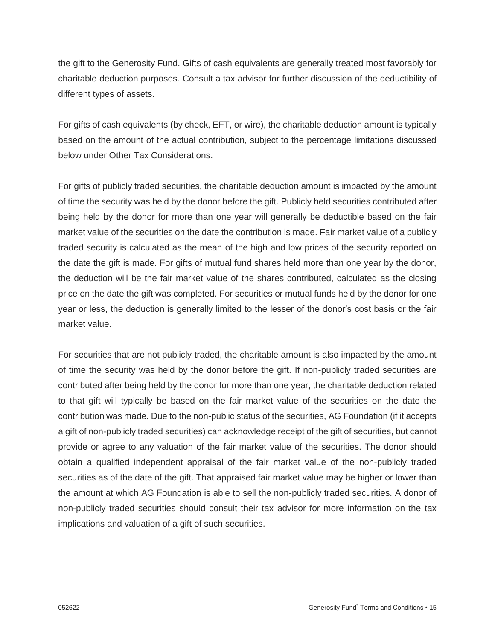the gift to the Generosity Fund. Gifts of cash equivalents are generally treated most favorably for charitable deduction purposes. Consult a tax advisor for further discussion of the deductibility of different types of assets.

For gifts of cash equivalents (by check, EFT, or wire), the charitable deduction amount is typically based on the amount of the actual contribution, subject to the percentage limitations discussed below under Other Tax Considerations.

For gifts of publicly traded securities, the charitable deduction amount is impacted by the amount of time the security was held by the donor before the gift. Publicly held securities contributed after being held by the donor for more than one year will generally be deductible based on the fair market value of the securities on the date the contribution is made. Fair market value of a publicly traded security is calculated as the mean of the high and low prices of the security reported on the date the gift is made. For gifts of mutual fund shares held more than one year by the donor, the deduction will be the fair market value of the shares contributed, calculated as the closing price on the date the gift was completed. For securities or mutual funds held by the donor for one year or less, the deduction is generally limited to the lesser of the donor's cost basis or the fair market value.

For securities that are not publicly traded, the charitable amount is also impacted by the amount of time the security was held by the donor before the gift. If non-publicly traded securities are contributed after being held by the donor for more than one year, the charitable deduction related to that gift will typically be based on the fair market value of the securities on the date the contribution was made. Due to the non-public status of the securities, AG Foundation (if it accepts a gift of non-publicly traded securities) can acknowledge receipt of the gift of securities, but cannot provide or agree to any valuation of the fair market value of the securities. The donor should obtain a qualified independent appraisal of the fair market value of the non-publicly traded securities as of the date of the gift. That appraised fair market value may be higher or lower than the amount at which AG Foundation is able to sell the non-publicly traded securities. A donor of non-publicly traded securities should consult their tax advisor for more information on the tax implications and valuation of a gift of such securities.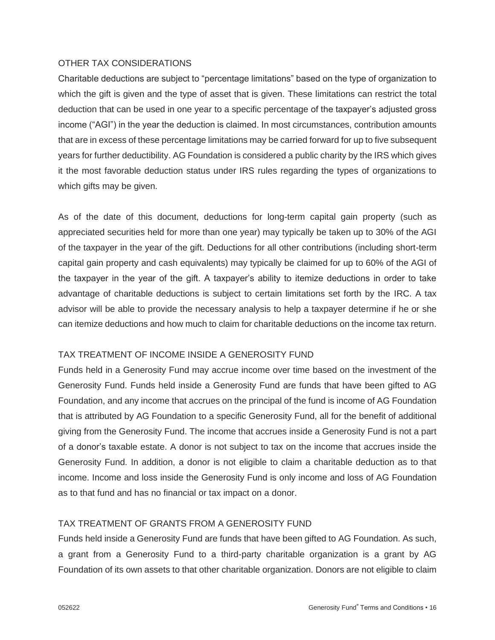## OTHER TAX CONSIDERATIONS

Charitable deductions are subject to "percentage limitations" based on the type of organization to which the gift is given and the type of asset that is given. These limitations can restrict the total deduction that can be used in one year to a specific percentage of the taxpayer's adjusted gross income ("AGI") in the year the deduction is claimed. In most circumstances, contribution amounts that are in excess of these percentage limitations may be carried forward for up to five subsequent years for further deductibility. AG Foundation is considered a public charity by the IRS which gives it the most favorable deduction status under IRS rules regarding the types of organizations to which gifts may be given.

As of the date of this document, deductions for long-term capital gain property (such as appreciated securities held for more than one year) may typically be taken up to 30% of the AGI of the taxpayer in the year of the gift. Deductions for all other contributions (including short-term capital gain property and cash equivalents) may typically be claimed for up to 60% of the AGI of the taxpayer in the year of the gift. A taxpayer's ability to itemize deductions in order to take advantage of charitable deductions is subject to certain limitations set forth by the IRC. A tax advisor will be able to provide the necessary analysis to help a taxpayer determine if he or she can itemize deductions and how much to claim for charitable deductions on the income tax return.

# TAX TREATMENT OF INCOME INSIDE A GENEROSITY FUND

Funds held in a Generosity Fund may accrue income over time based on the investment of the Generosity Fund. Funds held inside a Generosity Fund are funds that have been gifted to AG Foundation, and any income that accrues on the principal of the fund is income of AG Foundation that is attributed by AG Foundation to a specific Generosity Fund, all for the benefit of additional giving from the Generosity Fund. The income that accrues inside a Generosity Fund is not a part of a donor's taxable estate. A donor is not subject to tax on the income that accrues inside the Generosity Fund. In addition, a donor is not eligible to claim a charitable deduction as to that income. Income and loss inside the Generosity Fund is only income and loss of AG Foundation as to that fund and has no financial or tax impact on a donor.

## TAX TREATMENT OF GRANTS FROM A GENEROSITY FUND

Funds held inside a Generosity Fund are funds that have been gifted to AG Foundation. As such, a grant from a Generosity Fund to a third-party charitable organization is a grant by AG Foundation of its own assets to that other charitable organization. Donors are not eligible to claim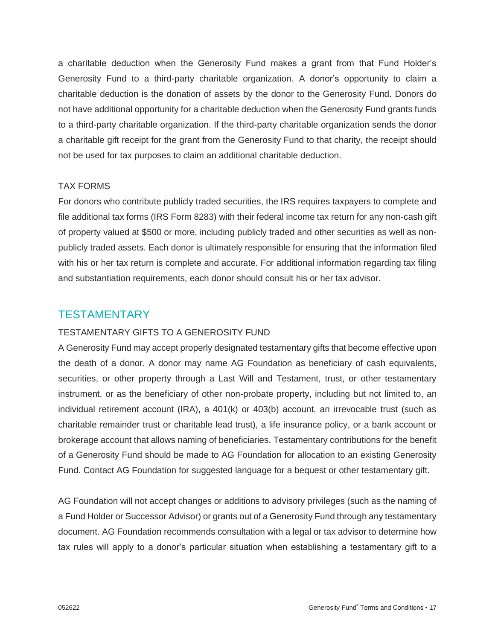a charitable deduction when the Generosity Fund makes a grant from that Fund Holder's Generosity Fund to a third-party charitable organization. A donor's opportunity to claim a charitable deduction is the donation of assets by the donor to the Generosity Fund. Donors do not have additional opportunity for a charitable deduction when the Generosity Fund grants funds to a third-party charitable organization. If the third-party charitable organization sends the donor a charitable gift receipt for the grant from the Generosity Fund to that charity, the receipt should not be used for tax purposes to claim an additional charitable deduction.

#### TAX FORMS

For donors who contribute publicly traded securities, the IRS requires taxpayers to complete and file additional tax forms (IRS Form 8283) with their federal income tax return for any non-cash gift of property valued at \$500 or more, including publicly traded and other securities as well as nonpublicly traded assets. Each donor is ultimately responsible for ensuring that the information filed with his or her tax return is complete and accurate. For additional information regarding tax filing and substantiation requirements, each donor should consult his or her tax advisor.

# **TESTAMENTARY**

## TESTAMENTARY GIFTS TO A GENEROSITY FUND

A Generosity Fund may accept properly designated testamentary gifts that become effective upon the death of a donor. A donor may name AG Foundation as beneficiary of cash equivalents, securities, or other property through a Last Will and Testament, trust, or other testamentary instrument, or as the beneficiary of other non-probate property, including but not limited to, an individual retirement account (IRA), a 401(k) or 403(b) account, an irrevocable trust (such as charitable remainder trust or charitable lead trust), a life insurance policy, or a bank account or brokerage account that allows naming of beneficiaries. Testamentary contributions for the benefit of a Generosity Fund should be made to AG Foundation for allocation to an existing Generosity Fund. Contact AG Foundation for suggested language for a bequest or other testamentary gift.

AG Foundation will not accept changes or additions to advisory privileges (such as the naming of a Fund Holder or Successor Advisor) or grants out of a Generosity Fund through any testamentary document. AG Foundation recommends consultation with a legal or tax advisor to determine how tax rules will apply to a donor's particular situation when establishing a testamentary gift to a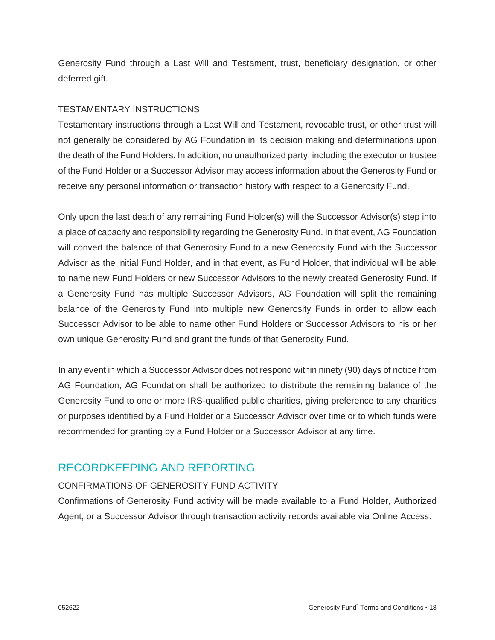Generosity Fund through a Last Will and Testament, trust, beneficiary designation, or other deferred gift.

# TESTAMENTARY INSTRUCTIONS

Testamentary instructions through a Last Will and Testament, revocable trust, or other trust will not generally be considered by AG Foundation in its decision making and determinations upon the death of the Fund Holders. In addition, no unauthorized party, including the executor or trustee of the Fund Holder or a Successor Advisor may access information about the Generosity Fund or receive any personal information or transaction history with respect to a Generosity Fund.

Only upon the last death of any remaining Fund Holder(s) will the Successor Advisor(s) step into a place of capacity and responsibility regarding the Generosity Fund. In that event, AG Foundation will convert the balance of that Generosity Fund to a new Generosity Fund with the Successor Advisor as the initial Fund Holder, and in that event, as Fund Holder, that individual will be able to name new Fund Holders or new Successor Advisors to the newly created Generosity Fund. If a Generosity Fund has multiple Successor Advisors, AG Foundation will split the remaining balance of the Generosity Fund into multiple new Generosity Funds in order to allow each Successor Advisor to be able to name other Fund Holders or Successor Advisors to his or her own unique Generosity Fund and grant the funds of that Generosity Fund.

In any event in which a Successor Advisor does not respond within ninety (90) days of notice from AG Foundation, AG Foundation shall be authorized to distribute the remaining balance of the Generosity Fund to one or more IRS-qualified public charities, giving preference to any charities or purposes identified by a Fund Holder or a Successor Advisor over time or to which funds were recommended for granting by a Fund Holder or a Successor Advisor at any time.

# RECORDKEEPING AND REPORTING

# CONFIRMATIONS OF GENEROSITY FUND ACTIVITY

Confirmations of Generosity Fund activity will be made available to a Fund Holder, Authorized Agent, or a Successor Advisor through transaction activity records available via Online Access.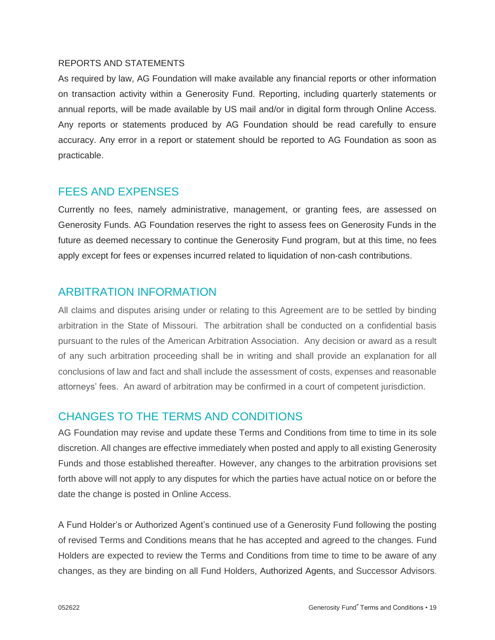## REPORTS AND STATEMENTS

As required by law, AG Foundation will make available any financial reports or other information on transaction activity within a Generosity Fund. Reporting, including quarterly statements or annual reports, will be made available by US mail and/or in digital form through Online Access. Any reports or statements produced by AG Foundation should be read carefully to ensure accuracy. Any error in a report or statement should be reported to AG Foundation as soon as practicable.

# FEES AND EXPENSES

Currently no fees, namely administrative, management, or granting fees, are assessed on Generosity Funds. AG Foundation reserves the right to assess fees on Generosity Funds in the future as deemed necessary to continue the Generosity Fund program, but at this time, no fees apply except for fees or expenses incurred related to liquidation of non-cash contributions.

# ARBITRATION INFORMATION

All claims and disputes arising under or relating to this Agreement are to be settled by binding arbitration in the State of Missouri. The arbitration shall be conducted on a confidential basis pursuant to the rules of the American Arbitration Association. Any decision or award as a result of any such arbitration proceeding shall be in writing and shall provide an explanation for all conclusions of law and fact and shall include the assessment of costs, expenses and reasonable attorneys' fees. An award of arbitration may be confirmed in a court of competent jurisdiction.

# CHANGES TO THE TERMS AND CONDITIONS

AG Foundation may revise and update these Terms and Conditions from time to time in its sole discretion. All changes are effective immediately when posted and apply to all existing Generosity Funds and those established thereafter. However, any changes to the arbitration provisions set forth above will not apply to any disputes for which the parties have actual notice on or before the date the change is posted in Online Access.

A Fund Holder's or Authorized Agent's continued use of a Generosity Fund following the posting of revised Terms and Conditions means that he has accepted and agreed to the changes. Fund Holders are expected to review the Terms and Conditions from time to time to be aware of any changes, as they are binding on all Fund Holders, Authorized Agents, and Successor Advisors.